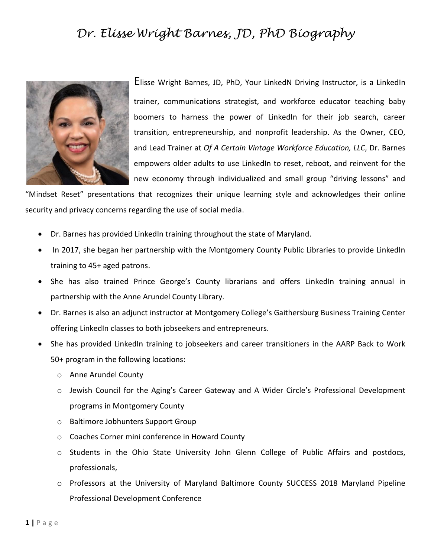## *Dr. Elisse Wright Barnes, JD, PhD Biography*



Elisse Wright Barnes, JD, PhD, Your LinkedN Driving Instructor, is a LinkedIn trainer, communications strategist, and workforce educator teaching baby boomers to harness the power of LinkedIn for their job search, career transition, entrepreneurship, and nonprofit leadership. As the Owner, CEO, and Lead Trainer at *Of A Certain Vintage Workforce Education, LLC*, Dr. Barnes empowers older adults to use LinkedIn to reset, reboot, and reinvent for the new economy through individualized and small group "driving lessons" and

"Mindset Reset" presentations that recognizes their unique learning style and acknowledges their online security and privacy concerns regarding the use of social media.

- Dr. Barnes has provided LinkedIn training throughout the state of Maryland.
- In 2017, she began her partnership with the Montgomery County Public Libraries to provide LinkedIn training to 45+ aged patrons.
- She has also trained Prince George's County librarians and offers LinkedIn training annual in partnership with the Anne Arundel County Library.
- Dr. Barnes is also an adjunct instructor at Montgomery College's Gaithersburg Business Training Center offering LinkedIn classes to both jobseekers and entrepreneurs.
- She has provided LinkedIn training to jobseekers and career transitioners in the AARP Back to Work 50+ program in the following locations:
	- o Anne Arundel County
	- o Jewish Council for the Aging's Career Gateway and A Wider Circle's Professional Development programs in Montgomery County
	- o Baltimore Jobhunters Support Group
	- o Coaches Corner mini conference in Howard County
	- o Students in the Ohio State University John Glenn College of Public Affairs and postdocs, professionals,
	- o Professors at the University of Maryland Baltimore County SUCCESS 2018 Maryland Pipeline Professional Development Conference